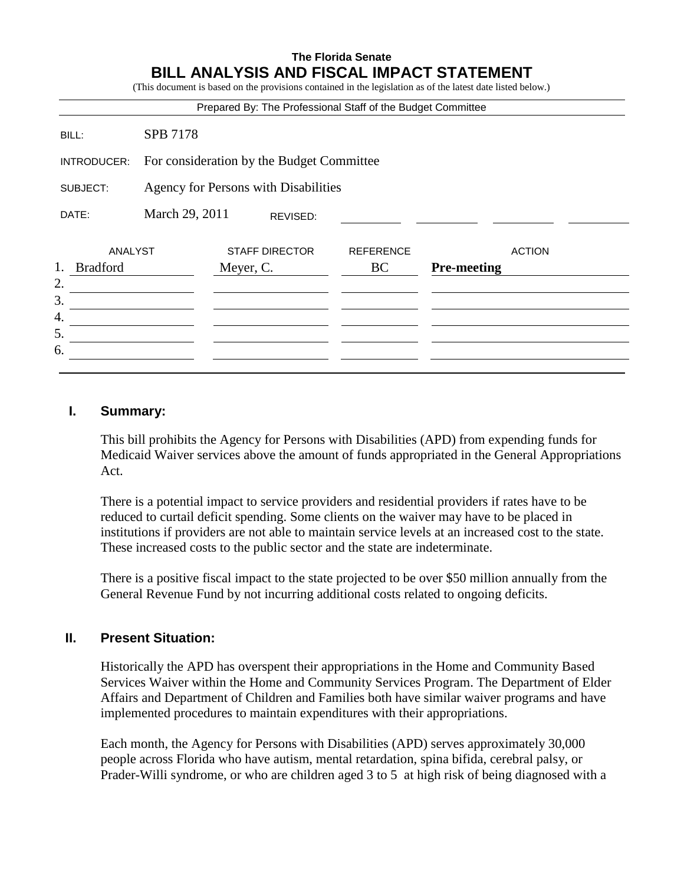# **The Florida Senate BILL ANALYSIS AND FISCAL IMPACT STATEMENT**

(This document is based on the provisions contained in the legislation as of the latest date listed below.)

| Prepared By: The Professional Staff of the Budget Committee |                                           |                       |  |                  |                    |               |  |  |  |
|-------------------------------------------------------------|-------------------------------------------|-----------------------|--|------------------|--------------------|---------------|--|--|--|
| BILL:                                                       | SPB 7178                                  |                       |  |                  |                    |               |  |  |  |
| INTRODUCER:                                                 | For consideration by the Budget Committee |                       |  |                  |                    |               |  |  |  |
| SUBJECT:                                                    | Agency for Persons with Disabilities      |                       |  |                  |                    |               |  |  |  |
| DATE:                                                       | March 29, 2011<br>REVISED:                |                       |  |                  |                    |               |  |  |  |
| ANALYST                                                     |                                           | <b>STAFF DIRECTOR</b> |  | <b>REFERENCE</b> |                    | <b>ACTION</b> |  |  |  |
| 1.<br><b>Bradford</b>                                       |                                           | Meyer, C.             |  | BC               | <b>Pre-meeting</b> |               |  |  |  |
| 2.<br>3.                                                    |                                           |                       |  |                  |                    |               |  |  |  |
| 4.                                                          |                                           |                       |  |                  |                    |               |  |  |  |
| 5.                                                          |                                           |                       |  |                  |                    |               |  |  |  |
| 6.                                                          |                                           |                       |  |                  |                    |               |  |  |  |
|                                                             |                                           |                       |  |                  |                    |               |  |  |  |

#### **I. Summary:**

This bill prohibits the Agency for Persons with Disabilities (APD) from expending funds for Medicaid Waiver services above the amount of funds appropriated in the General Appropriations Act.

There is a potential impact to service providers and residential providers if rates have to be reduced to curtail deficit spending. Some clients on the waiver may have to be placed in institutions if providers are not able to maintain service levels at an increased cost to the state. These increased costs to the public sector and the state are indeterminate.

There is a positive fiscal impact to the state projected to be over \$50 million annually from the General Revenue Fund by not incurring additional costs related to ongoing deficits.

#### **II. Present Situation:**

Historically the APD has overspent their appropriations in the Home and Community Based Services Waiver within the Home and Community Services Program. The Department of Elder Affairs and Department of Children and Families both have similar waiver programs and have implemented procedures to maintain expenditures with their appropriations.

Each month, the Agency for Persons with Disabilities (APD) serves approximately 30,000 people across Florida who have autism, mental retardation, spina bifida, cerebral palsy, or Prader-Willi syndrome, or who are children aged 3 to 5 at high risk of being diagnosed with a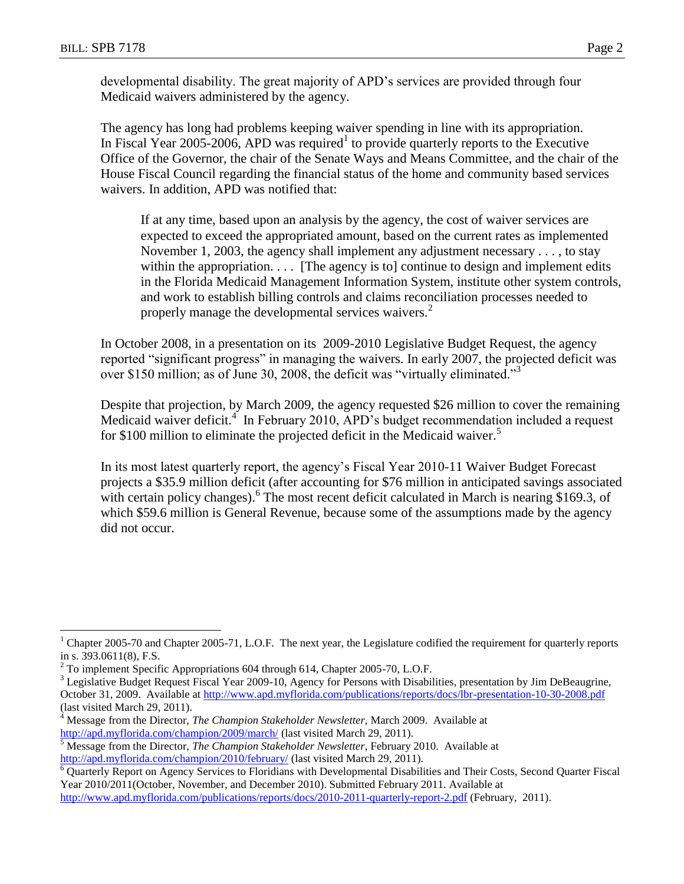$\overline{a}$ 

developmental disability. The great majority of APD's services are provided through four Medicaid waivers administered by the agency.

The agency has long had problems keeping waiver spending in line with its appropriation. In Fiscal Year 2005-2006, APD was required<sup>1</sup> to provide quarterly reports to the Executive Office of the Governor, the chair of the Senate Ways and Means Committee, and the chair of the House Fiscal Council regarding the financial status of the home and community based services waivers. In addition, APD was notified that:

If at any time, based upon an analysis by the agency, the cost of waiver services are expected to exceed the appropriated amount, based on the current rates as implemented November 1, 2003, the agency shall implement any adjustment necessary . . . , to stay within the appropriation.  $\ldots$  [The agency is to] continue to design and implement edits in the Florida Medicaid Management Information System, institute other system controls, and work to establish billing controls and claims reconciliation processes needed to properly manage the developmental services waivers.<sup>2</sup>

In October 2008, in a presentation on its 2009-2010 Legislative Budget Request, the agency reported "significant progress" in managing the waivers. In early 2007, the projected deficit was over \$150 million; as of June 30, 2008, the deficit was "virtually eliminated."<sup>3</sup>

Despite that projection, by March 2009, the agency requested \$26 million to cover the remaining Medicaid waiver deficit.<sup>4</sup> In February 2010, APD's budget recommendation included a request for \$100 million to eliminate the projected deficit in the Medicaid waiver.<sup>5</sup>

In its most latest quarterly report, the agency's Fiscal Year 2010-11 Waiver Budget Forecast projects a \$35.9 million deficit (after accounting for \$76 million in anticipated savings associated with certain policy changes). <sup>6</sup> The most recent deficit calculated in March is nearing \$169.3, of which \$59.6 million is General Revenue, because some of the assumptions made by the agency did not occur.

<sup>1</sup> Chapter 2005-70 and Chapter 2005-71, L.O.F. The next year, the Legislature codified the requirement for quarterly reports in s. 393.0611(8), F.S.

 $^{2}$  To implement Specific Appropriations 604 through 614, Chapter 2005-70, L.O.F.

<sup>&</sup>lt;sup>3</sup> Legislative Budget Request Fiscal Year 2009-10, Agency for Persons with Disabilities, presentation by Jim DeBeaugrine, October 31, 2009. Available at<http://www.apd.myflorida.com/publications/reports/docs/lbr-presentation-10-30-2008.pdf> (last visited March 29, 2011).

<sup>4</sup> Message from the Director, *The Champion Stakeholder Newsletter,* March 2009. Available at <http://apd.myflorida.com/champion/2009/march/> (last visited March 29, 2011).

<sup>5</sup> Message from the Director, *The Champion Stakeholder Newsletter*, February 2010. Available at <http://apd.myflorida.com/champion/2010/february/> (last visited March 29, 2011).

<sup>6</sup> Quarterly Report on Agency Services to Floridians with Developmental Disabilities and Their Costs, Second Quarter Fiscal Year 2010/2011(October, November, and December 2010). Submitted February 2011. Available at

<http://www.apd.myflorida.com/publications/reports/docs/2010-2011-quarterly-report-2.pdf> (February, 2011).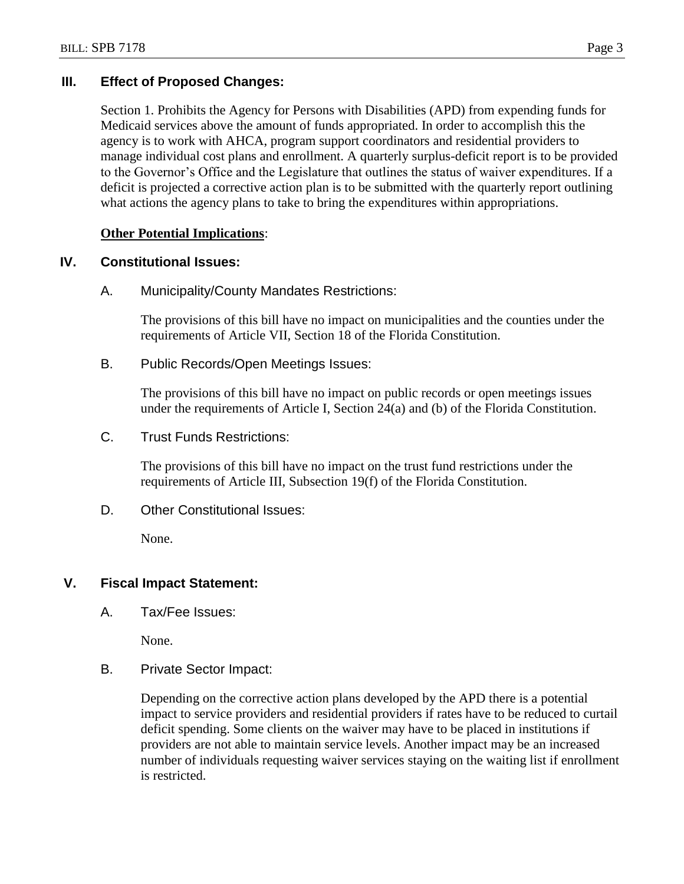## **III. Effect of Proposed Changes:**

Section 1. Prohibits the Agency for Persons with Disabilities (APD) from expending funds for Medicaid services above the amount of funds appropriated. In order to accomplish this the agency is to work with AHCA, program support coordinators and residential providers to manage individual cost plans and enrollment. A quarterly surplus-deficit report is to be provided to the Governor's Office and the Legislature that outlines the status of waiver expenditures. If a deficit is projected a corrective action plan is to be submitted with the quarterly report outlining what actions the agency plans to take to bring the expenditures within appropriations.

## **Other Potential Implications**:

## **IV. Constitutional Issues:**

A. Municipality/County Mandates Restrictions:

The provisions of this bill have no impact on municipalities and the counties under the requirements of Article VII, Section 18 of the Florida Constitution.

B. Public Records/Open Meetings Issues:

The provisions of this bill have no impact on public records or open meetings issues under the requirements of Article I, Section 24(a) and (b) of the Florida Constitution.

C. Trust Funds Restrictions:

The provisions of this bill have no impact on the trust fund restrictions under the requirements of Article III, Subsection 19(f) of the Florida Constitution.

D. Other Constitutional Issues:

None.

## **V. Fiscal Impact Statement:**

A. Tax/Fee Issues:

None.

B. Private Sector Impact:

Depending on the corrective action plans developed by the APD there is a potential impact to service providers and residential providers if rates have to be reduced to curtail deficit spending. Some clients on the waiver may have to be placed in institutions if providers are not able to maintain service levels. Another impact may be an increased number of individuals requesting waiver services staying on the waiting list if enrollment is restricted.